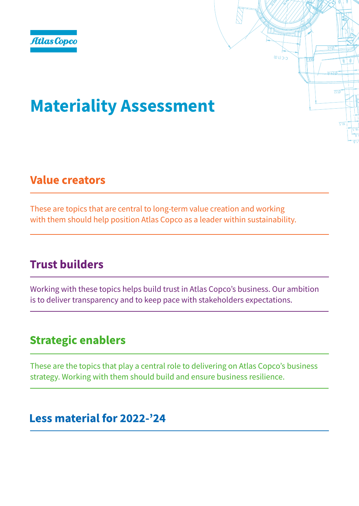# Materiality Assessment

### **Value creators**

These are topics that are central to long-term value creation and working with them should help position Atlas Copco as a leader within sustainability.

 $(E;L)$   $\supset$ - $\supset$ 

 $\overline{770}$ 

# **Trust builders**

Working with these topics helps build trust in Atlas Copco's business. Our ambition is to deliver transparency and to keep pace with stakeholders expectations.

# **Strategic enablers**

These are the topics that play a central role to delivering on Atlas Copco's business strategy. Working with them should build and ensure business resilience.

### Less material for 2022-'24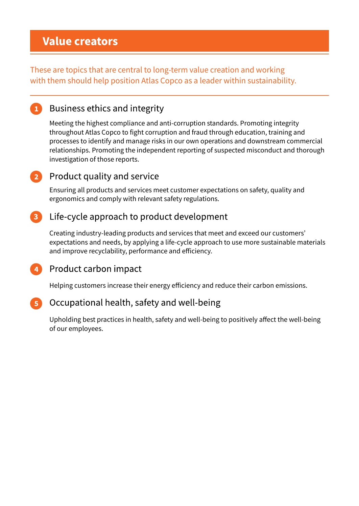### **Value creators**

These are topics that are central to long-term value creation and working with them should help position Atlas Copco as a leader within sustainability.

### **Business ethics and integrity**

Meeting the highest compliance and anti-corruption standards. Promoting integrity throughout Atlas Copco to fight corruption and fraud through education, training and processes to identify and manage risks in our own operations and downstream commercial relationships. Promoting the independent reporting of suspected misconduct and thorough investigation of those reports.

### Product quality and service

Ensuring all products and services meet customer expectations on safety, quality and ergonomics and comply with relevant safety regulations.

### Life-cycle approach to product development

Creating industry-leading products and services that meet and exceed our customers' expectations and needs, by applying a life-cycle approach to use more sustainable materials and improve recyclability, performance and efficiency.

### 4 Product carbon impact

Helping customers increase their energy efficiency and reduce their carbon emissions.

#### Occupational health, safety and well-being

Upholding best practices in health, safety and well-being to positively affect the well-being of our employees.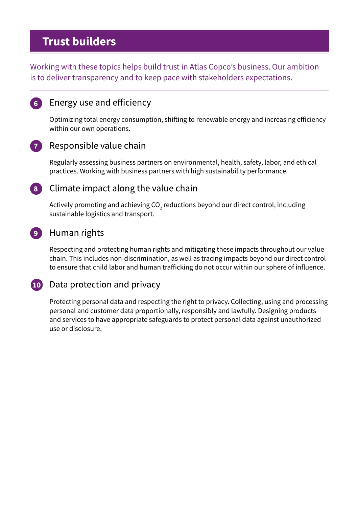### **Trust builders**

Working with these topics helps build trust in Atlas Copco's business. Our ambition is to deliver transparency and to keep pace with stakeholders expectations.

### 6 Energy use and efficiency

Optimizing total energy consumption, shifting to renewable energy and increasing efficiency within our own operations.

#### Responsible value chain 7

Regularly assessing business partners on environmental, health, safety, labor, and ethical practices. Working with business partners with high sustainability performance.

### 8 Climate impact along the value chain

Actively promoting and achieving CO<sub>2</sub> reductions beyond our direct control, including sustainable logistics and transport.

#### 9 Human rights

Respecting and protecting human rights and mitigating these impacts throughout our value chain. This includes non-discrimination, as well as tracing impacts beyond our direct control to ensure that child labor and human trafficking do not occur within our sphere of influence.

#### 10 Data protection and privacy

Protecting personal data and respecting the right to privacy. Collecting, using and processing personal and customer data proportionally, responsibly and lawfully. Designing products and services to have appropriate safeguards to protect personal data against unauthorized use or disclosure.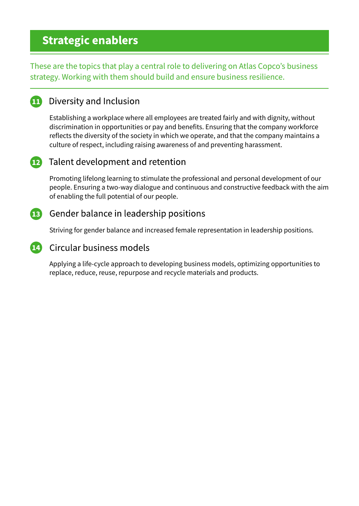### **Strategic enablers**

These are the topics that play a central role to delivering on Atlas Copco's business strategy. Working with them should build and ensure business resilience.

#### Diversity and Inclusion  $\bf \Omega$

Establishing a workplace where all employees are treated fairly and with dignity, without discrimination in opportunities or pay and benefits. Ensuring that the company workforce reflects the diversity of the society in which we operate, and that the company maintains a culture of respect, including raising awareness of and preventing harassment.

### 12 Talent development and retention

Promoting lifelong learning to stimulate the professional and personal development of our people. Ensuring a two-way dialogue and continuous and constructive feedback with the aim of enabling the full potential of our people.

### **13** Gender balance in leadership positions

Striving for gender balance and increased female representation in leadership positions.

### 14 Circular business models

Applying a life-cycle approach to developing business models, optimizing opportunities to replace, reduce, reuse, repurpose and recycle materials and products.